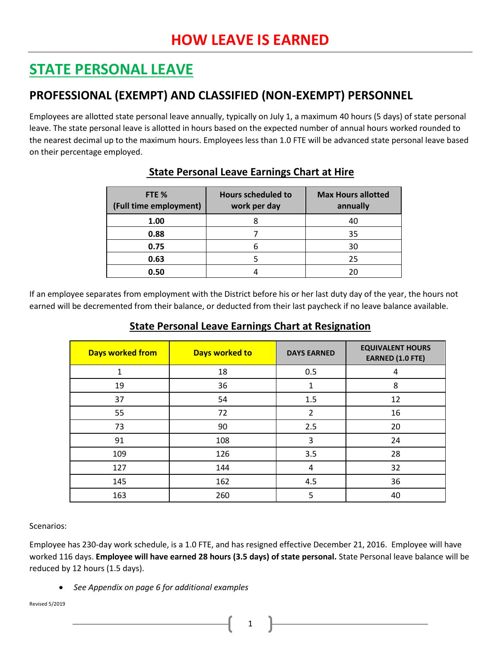# **STATE PERSONAL LEAVE**

## **PROFESSIONAL (EXEMPT) AND CLASSIFIED (NON-EXEMPT) PERSONNEL**

Employees are allotted state personal leave annually, typically on July 1, a maximum 40 hours (5 days) of state personal leave. The state personal leave is allotted in hours based on the expected number of annual hours worked rounded to the nearest decimal up to the maximum hours. Employees less than 1.0 FTE will be advanced state personal leave based on their percentage employed.

| FTE %<br>(Full time employment) | <b>Hours scheduled to</b><br>work per day | <b>Max Hours allotted</b><br>annually |
|---------------------------------|-------------------------------------------|---------------------------------------|
| 1.00                            |                                           | 40                                    |
| 0.88                            |                                           | 35                                    |
| 0.75                            |                                           | 30                                    |
| 0.63                            |                                           | 25                                    |
| 0.50                            |                                           | 20                                    |

### **State Personal Leave Earnings Chart at Hire**

If an employee separates from employment with the District before his or her last duty day of the year, the hours not earned will be decremented from their balance, or deducted from their last paycheck if no leave balance available.

### **State Personal Leave Earnings Chart at Resignation**

| <b>Days worked from</b> | Days worked to | <b>DAYS EARNED</b> | <b>EQUIVALENT HOURS</b><br><b>EARNED (1.0 FTE)</b> |
|-------------------------|----------------|--------------------|----------------------------------------------------|
| $\mathbf{1}$            | 18             | 0.5                | 4                                                  |
| 19                      | 36             | 1                  | 8                                                  |
| 37                      | 54             | 1.5                | 12                                                 |
| 55                      | 72             | 2                  | 16                                                 |
| 73                      | 90             | 2.5                | 20                                                 |
| 91                      | 108            | 3                  | 24                                                 |
| 109                     | 126            | 3.5                | 28                                                 |
| 127                     | 144            | 4                  | 32                                                 |
| 145                     | 162            | 4.5                | 36                                                 |
| 163                     | 260            | 5                  | 40                                                 |

Scenarios:

Employee has 230-day work schedule, is a 1.0 FTE, and has resigned effective December 21, 2016. Employee will have worked 116 days. **Employee will have earned 28 hours (3.5 days) of state personal.** State Personal leave balance will be reduced by 12 hours (1.5 days).

*See Appendix on page 6 for additional examples*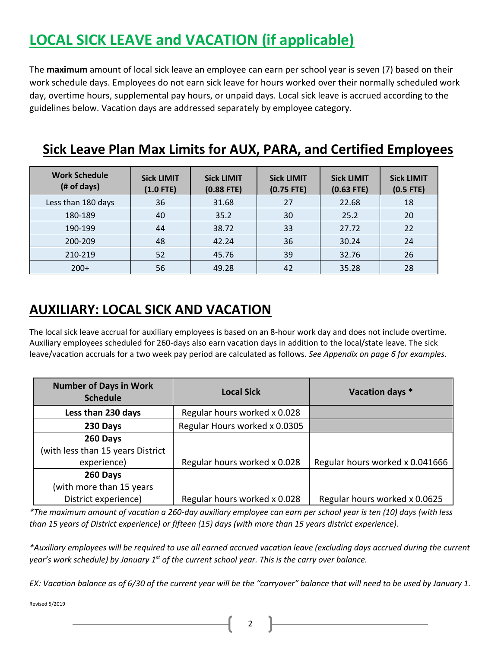# **LOCAL SICK LEAVE and VACATION (if applicable)**

The **maximum** amount of local sick leave an employee can earn per school year is seven (7) based on their work schedule days. Employees do not earn sick leave for hours worked over their normally scheduled work day, overtime hours, supplemental pay hours, or unpaid days. Local sick leave is accrued according to the guidelines below. Vacation days are addressed separately by employee category.

| <b>Work Schedule</b><br>(# of days) | <b>Sick LIMIT</b><br>$(1.0$ FTE) | <b>Sick LIMIT</b><br>$(0.88$ FTE) | <b>Sick LIMIT</b><br>$(0.75$ FTE) | <b>Sick LIMIT</b><br>$(0.63$ FTE) | <b>Sick LIMIT</b><br>$(0.5$ FTE) |
|-------------------------------------|----------------------------------|-----------------------------------|-----------------------------------|-----------------------------------|----------------------------------|
| Less than 180 days                  | 36                               | 31.68                             | 27                                | 22.68                             | 18                               |
| 180-189                             | 40                               | 35.2                              | 30                                | 25.2                              | 20                               |
| 190-199                             | 44                               | 38.72                             | 33                                | 27.72                             | 22                               |
| 200-209                             | 48                               | 42.24                             | 36                                | 30.24                             | 24                               |
| 210-219                             | 52                               | 45.76                             | 39                                | 32.76                             | 26                               |
| $200+$                              | 56                               | 49.28                             | 42                                | 35.28                             | 28                               |

## **Sick Leave Plan Max Limits for AUX, PARA, and Certified Employees**

## **AUXILIARY: LOCAL SICK AND VACATION**

The local sick leave accrual for auxiliary employees is based on an 8-hour work day and does not include overtime. Auxiliary employees scheduled for 260-days also earn vacation days in addition to the local/state leave. The sick leave/vacation accruals for a two week pay period are calculated as follows. *See Appendix on page 6 for examples.*

| <b>Number of Days in Work</b><br><b>Schedule</b> | <b>Local Sick</b>             | Vacation days *                 |
|--------------------------------------------------|-------------------------------|---------------------------------|
| Less than 230 days                               | Regular hours worked x 0.028  |                                 |
| 230 Days                                         | Regular Hours worked x 0.0305 |                                 |
| 260 Days                                         |                               |                                 |
| (with less than 15 years District                |                               |                                 |
| experience)                                      | Regular hours worked x 0.028  | Regular hours worked x 0.041666 |
| 260 Days                                         |                               |                                 |
| (with more than 15 years                         |                               |                                 |
| District experience)                             | Regular hours worked x 0.028  | Regular hours worked x 0.0625   |

*\*The maximum amount of vacation a 260-day auxiliary employee can earn per school year is ten (10) days (with less than 15 years of District experience) or fifteen (15) days (with more than 15 years district experience).*

*\*Auxiliary employees will be required to use all earned accrued vacation leave (excluding days accrued during the current year's work schedule) by January 1 st of the current school year. This is the carry over balance.*

*EX: Vacation balance as of 6/30 of the current year will be the "carryover" balance that will need to be used by January 1.*

Revised 5/2019

2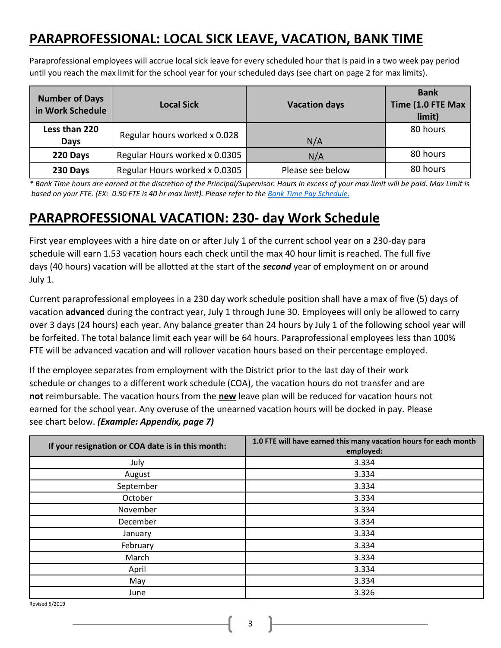## **PARAPROFESSIONAL: LOCAL SICK LEAVE, VACATION, BANK TIME**

Paraprofessional employees will accrue local sick leave for every scheduled hour that is paid in a two week pay period until you reach the max limit for the school year for your scheduled days (see chart on page 2 for max limits).

| <b>Number of Days</b><br>in Work Schedule | <b>Local Sick</b>             | <b>Vacation days</b> | <b>Bank</b><br>Time (1.0 FTE Max<br>limit) |
|-------------------------------------------|-------------------------------|----------------------|--------------------------------------------|
| Less than 220<br><b>Days</b>              | Regular hours worked x 0.028  | N/A                  | 80 hours                                   |
| 220 Days                                  | Regular Hours worked x 0.0305 | N/A                  | 80 hours                                   |
| 230 Days                                  | Regular Hours worked x 0.0305 | Please see below     | 80 hours                                   |

*\* Bank Time hours are earned at the discretion of the Principal/Supervisor. Hours in excess of your max limit will be paid. Max Limit is based on your FTE. (EX: 0.50 FTE is 40 hr max limit). Please refer to the [Bank Time Pay Schedule.](http://www.neisd.net/fina/pay_sch.html)*

## **PARAPROFESSIONAL VACATION: 230- day Work Schedule**

First year employees with a hire date on or after July 1 of the current school year on a 230-day para schedule will earn 1.53 vacation hours each check until the max 40 hour limit is reached. The full five days (40 hours) vacation will be allotted at the start of the *second* year of employment on or around July 1.

Current paraprofessional employees in a 230 day work schedule position shall have a max of five (5) days of vacation **advanced** during the contract year, July 1 through June 30. Employees will only be allowed to carry over 3 days (24 hours) each year. Any balance greater than 24 hours by July 1 of the following school year will be forfeited. The total balance limit each year will be 64 hours. Paraprofessional employees less than 100% FTE will be advanced vacation and will rollover vacation hours based on their percentage employed.

If the employee separates from employment with the District prior to the last day of their work schedule or changes to a different work schedule (COA), the vacation hours do not transfer and are **not** reimbursable. The vacation hours from the **new** leave plan will be reduced for vacation hours not earned for the school year. Any overuse of the unearned vacation hours will be docked in pay. Please see chart below. *(Example: Appendix, page 7)*

| If your resignation or COA date is in this month: | 1.0 FTE will have earned this many vacation hours for each month<br>employed: |
|---------------------------------------------------|-------------------------------------------------------------------------------|
| July                                              | 3.334                                                                         |
| August                                            | 3.334                                                                         |
| September                                         | 3.334                                                                         |
| October                                           | 3.334                                                                         |
| November                                          | 3.334                                                                         |
| December                                          | 3.334                                                                         |
| January                                           | 3.334                                                                         |
| February                                          | 3.334                                                                         |
| March                                             | 3.334                                                                         |
| April                                             | 3.334                                                                         |
| May                                               | 3.334                                                                         |
| June                                              | 3.326                                                                         |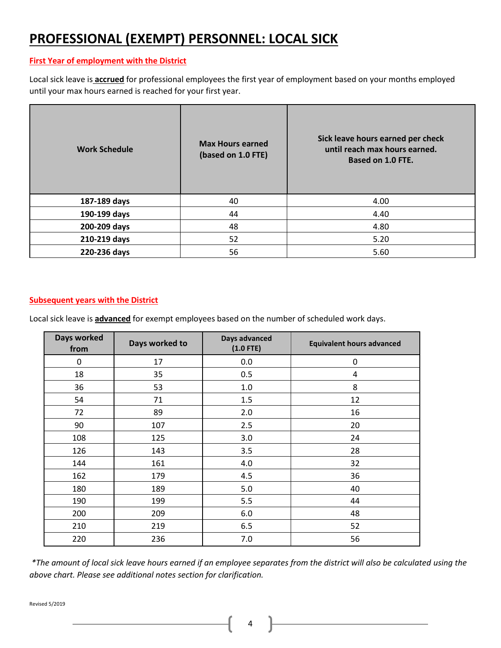## **PROFESSIONAL (EXEMPT) PERSONNEL: LOCAL SICK**

#### **First Year of employment with the District**

Local sick leave is **accrued** for professional employees the first year of employment based on your months employed until your max hours earned is reached for your first year.

| <b>Work Schedule</b> | <b>Max Hours earned</b><br>(based on 1.0 FTE) | Sick leave hours earned per check<br>until reach max hours earned.<br><b>Based on 1.0 FTE.</b> |
|----------------------|-----------------------------------------------|------------------------------------------------------------------------------------------------|
| 187-189 days         | 40                                            | 4.00                                                                                           |
| 190-199 days         | 44                                            | 4.40                                                                                           |
| 200-209 days         | 48                                            | 4.80                                                                                           |
| 210-219 days         | 52                                            | 5.20                                                                                           |
| 220-236 days         | 56                                            | 5.60                                                                                           |

#### **Subsequent years with the District**

Local sick leave is **advanced** for exempt employees based on the number of scheduled work days.

| Days worked<br>from | Days worked to | Days advanced<br>$(1.0$ FTE) | <b>Equivalent hours advanced</b> |  |
|---------------------|----------------|------------------------------|----------------------------------|--|
| 0                   | 17             | 0.0                          | $\mathbf 0$                      |  |
| 18                  | 35             | 0.5                          | 4                                |  |
| 36                  | 53             | $1.0\,$                      | 8                                |  |
| 54                  | 71             | 1.5                          | 12                               |  |
| 72                  | 89             | 2.0                          | 16                               |  |
| 90                  | 107            | 2.5                          | 20                               |  |
| 108                 | 125            | 3.0                          | 24                               |  |
| 126                 | 143            | 3.5                          | 28                               |  |
| 144                 | 161            | 4.0                          | 32                               |  |
| 162                 | 179            | 4.5                          | 36                               |  |
| 180                 | 189            | 5.0                          | 40                               |  |
| 190                 | 199            | 5.5                          | 44                               |  |
| 200                 | 209            | 6.0                          | 48                               |  |
| 210                 | 219            | 6.5                          | 52                               |  |
| 220                 | 236            | 7.0                          | 56                               |  |

*\*The amount of local sick leave hours earned if an employee separates from the district will also be calculated using the above chart. Please see additional notes section for clarification.*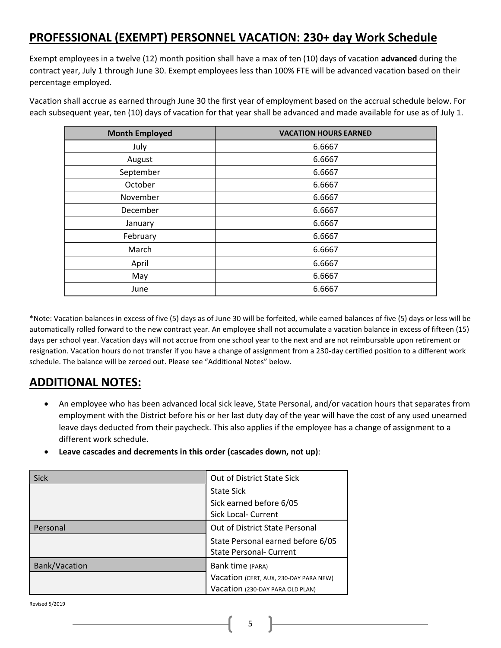## **PROFESSIONAL (EXEMPT) PERSONNEL VACATION: 230+ day Work Schedule**

Exempt employees in a twelve (12) month position shall have a max of ten (10) days of vacation **advanced** during the contract year, July 1 through June 30. Exempt employees less than 100% FTE will be advanced vacation based on their percentage employed.

Vacation shall accrue as earned through June 30 the first year of employment based on the accrual schedule below. For each subsequent year, ten (10) days of vacation for that year shall be advanced and made available for use as of July 1.

| <b>Month Employed</b> | <b>VACATION HOURS EARNED</b> |  |
|-----------------------|------------------------------|--|
| July                  | 6.6667                       |  |
| August                | 6.6667                       |  |
| September             | 6.6667                       |  |
| October               | 6.6667                       |  |
| November              | 6.6667                       |  |
| December              | 6.6667                       |  |
| January               | 6.6667                       |  |
| February              | 6.6667                       |  |
| March                 | 6.6667                       |  |
| April                 | 6.6667                       |  |
| May                   | 6.6667                       |  |
| June                  | 6.6667                       |  |

\*Note: Vacation balances in excess of five (5) days as of June 30 will be forfeited, while earned balances of five (5) days or less will be automatically rolled forward to the new contract year. An employee shall not accumulate a vacation balance in excess of fifteen (15) days per school year. Vacation days will not accrue from one school year to the next and are not reimbursable upon retirement or resignation. Vacation hours do not transfer if you have a change of assignment from a 230-day certified position to a different work schedule. The balance will be zeroed out. Please see "Additional Notes" below.

## **ADDITIONAL NOTES:**

- An employee who has been advanced local sick leave, State Personal, and/or vacation hours that separates from employment with the District before his or her last duty day of the year will have the cost of any used unearned leave days deducted from their paycheck. This also applies if the employee has a change of assignment to a different work schedule.
- **Leave cascades and decrements in this order (cascades down, not up)**:

| <b>Sick</b>   | Out of District State Sick             |
|---------------|----------------------------------------|
|               | <b>State Sick</b>                      |
|               | Sick earned before 6/05                |
|               | Sick Local- Current                    |
| Personal      | Out of District State Personal         |
|               | State Personal earned before 6/05      |
|               | <b>State Personal- Current</b>         |
| Bank/Vacation | Bank time (PARA)                       |
|               | Vacation (CERT, AUX, 230-DAY PARA NEW) |
|               | Vacation (230-DAY PARA OLD PLAN)       |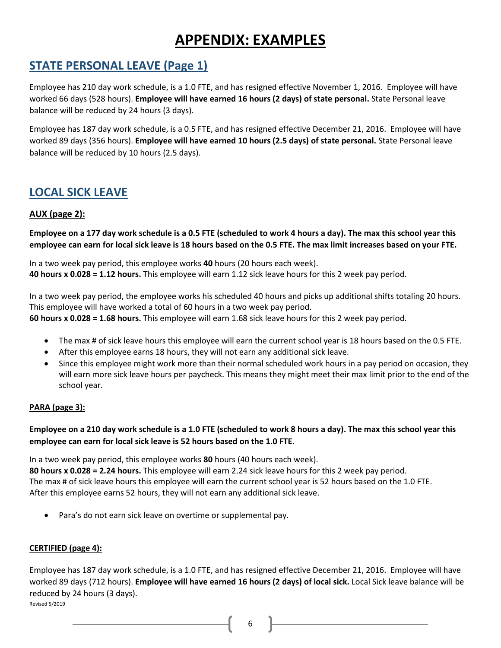# **APPENDIX: EXAMPLES**

## **STATE PERSONAL LEAVE (Page 1)**

Employee has 210 day work schedule, is a 1.0 FTE, and has resigned effective November 1, 2016. Employee will have worked 66 days (528 hours). **Employee will have earned 16 hours (2 days) of state personal.** State Personal leave balance will be reduced by 24 hours (3 days).

Employee has 187 day work schedule, is a 0.5 FTE, and has resigned effective December 21, 2016. Employee will have worked 89 days (356 hours). **Employee will have earned 10 hours (2.5 days) of state personal.** State Personal leave balance will be reduced by 10 hours (2.5 days).

### **LOCAL SICK LEAVE**

### **AUX (page 2):**

**Employee on a 177 day work schedule is a 0.5 FTE (scheduled to work 4 hours a day). The max this school year this employee can earn for local sick leave is 18 hours based on the 0.5 FTE. The max limit increases based on your FTE.**

In a two week pay period, this employee works **40** hours (20 hours each week). **40 hours x 0.028 = 1.12 hours.** This employee will earn 1.12 sick leave hours for this 2 week pay period.

In a two week pay period, the employee works his scheduled 40 hours and picks up additional shifts totaling 20 hours. This employee will have worked a total of 60 hours in a two week pay period.

**60 hours x 0.028 = 1.68 hours.** This employee will earn 1.68 sick leave hours for this 2 week pay period.

- The max # of sick leave hours this employee will earn the current school year is 18 hours based on the 0.5 FTE.
- After this employee earns 18 hours, they will not earn any additional sick leave.
- Since this employee might work more than their normal scheduled work hours in a pay period on occasion, they will earn more sick leave hours per paycheck. This means they might meet their max limit prior to the end of the school year.

### **PARA (page 3):**

### **Employee on a 210 day work schedule is a 1.0 FTE (scheduled to work 8 hours a day). The max this school year this employee can earn for local sick leave is 52 hours based on the 1.0 FTE.**

In a two week pay period, this employee works **80** hours (40 hours each week). **80 hours x 0.028 = 2.24 hours.** This employee will earn 2.24 sick leave hours for this 2 week pay period. The max # of sick leave hours this employee will earn the current school year is 52 hours based on the 1.0 FTE.

After this employee earns 52 hours, they will not earn any additional sick leave.

Para's do not earn sick leave on overtime or supplemental pay.

### **CERTIFIED (page 4):**

Revised 5/2019 Employee has 187 day work schedule, is a 1.0 FTE, and has resigned effective December 21, 2016. Employee will have worked 89 days (712 hours). **Employee will have earned 16 hours (2 days) of local sick.** Local Sick leave balance will be reduced by 24 hours (3 days).

6